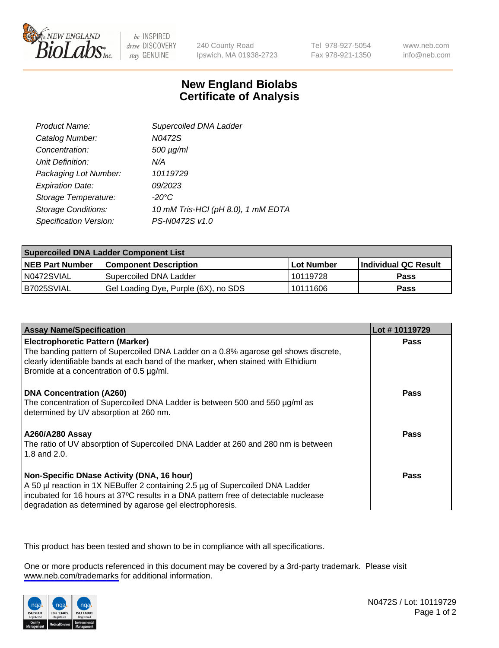

be INSPIRED drive DISCOVERY stay GENUINE

240 County Road Ipswich, MA 01938-2723 Tel 978-927-5054 Fax 978-921-1350

www.neb.com info@neb.com

## **New England Biolabs Certificate of Analysis**

| Product Name:              | Supercoiled DNA Ladder             |
|----------------------------|------------------------------------|
| Catalog Number:            | N0472S                             |
| Concentration:             | 500 µg/ml                          |
| Unit Definition:           | N/A                                |
| Packaging Lot Number:      | 10119729                           |
| <b>Expiration Date:</b>    | <i>09/2023</i>                     |
| Storage Temperature:       | -20°C                              |
| <b>Storage Conditions:</b> | 10 mM Tris-HCl (pH 8.0), 1 mM EDTA |
| Specification Version:     | PS-N0472S v1.0                     |

| <b>Supercoiled DNA Ladder Component List</b> |                                      |            |                      |  |
|----------------------------------------------|--------------------------------------|------------|----------------------|--|
| <b>NEB Part Number</b>                       | <b>Component Description</b>         | Lot Number | Individual QC Result |  |
| N0472SVIAL                                   | Supercoiled DNA Ladder               | 10119728   | <b>Pass</b>          |  |
| I B7025SVIAL                                 | Gel Loading Dye, Purple (6X), no SDS | 10111606   | <b>Pass</b>          |  |

| <b>Assay Name/Specification</b>                                                                                                                                                                                                                                                 | Lot #10119729 |
|---------------------------------------------------------------------------------------------------------------------------------------------------------------------------------------------------------------------------------------------------------------------------------|---------------|
| <b>Electrophoretic Pattern (Marker)</b><br>The banding pattern of Supercoiled DNA Ladder on a 0.8% agarose gel shows discrete,<br>clearly identifiable bands at each band of the marker, when stained with Ethidium<br>Bromide at a concentration of 0.5 µg/ml.                 | Pass          |
| <b>DNA Concentration (A260)</b><br>The concentration of Supercoiled DNA Ladder is between 500 and 550 µg/ml as<br>determined by UV absorption at 260 nm.                                                                                                                        | Pass          |
| <b>A260/A280 Assay</b><br>The ratio of UV absorption of Supercoiled DNA Ladder at 260 and 280 nm is between<br>1.8 and 2.0.                                                                                                                                                     | Pass          |
| Non-Specific DNase Activity (DNA, 16 hour)<br>A 50 µl reaction in 1X NEBuffer 2 containing 2.5 µg of Supercoiled DNA Ladder<br>incubated for 16 hours at 37°C results in a DNA pattern free of detectable nuclease<br>degradation as determined by agarose gel electrophoresis. | Pass          |

This product has been tested and shown to be in compliance with all specifications.

One or more products referenced in this document may be covered by a 3rd-party trademark. Please visit <www.neb.com/trademarks>for additional information.